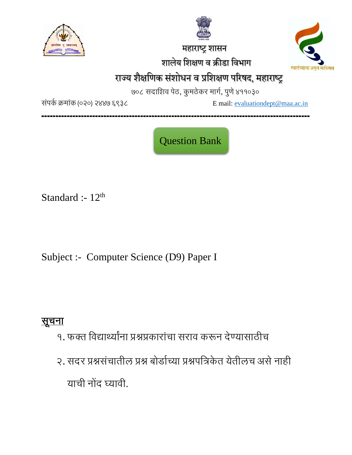

 महाराष्ट्र शासन शालेय शशक्षण व क्रीडा शवभाग



# राज्य शैक्षणिक संशोधन व प्रशिक्षण परिषद, महाराष्ट्र

७०८ सदाशिव पेठ, कुमठेकर मार्ग, पुणे ४११०३०

संपर्क क्रमांक (०२०) २४४७ ६९३८ Email: [evaluationdept@maa.ac.in](mailto:evaluationdept@maa.ac.in)

**-----------------------------------------------------------------------------------------------**

Question Bank

Standard :-  $12<sup>th</sup>$ 

Subject :- Computer Science (D9) Paper I

# सूचना

- १. फक्त शवद्यार्थ्यांना प्रश्नप्रकारांचा सराव करून देण्यासाठीच
- २. सदर प्रश्नसंचातील प्रश्न बोर्डाच्या प्रश्नपत्रिकेत येतीलच असे नाही याची नोंद घ्यावी.

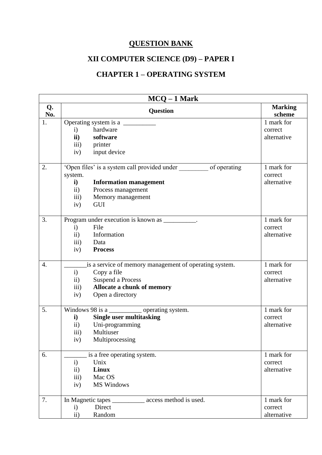### **QUESTION BANK**

## **XII COMPUTER SCIENCE (D9) – PAPER I**

#### **CHAPTER 1 – OPERATING SYSTEM**

| $MCQ - 1$ Mark   |                           |                                                                       |                          |
|------------------|---------------------------|-----------------------------------------------------------------------|--------------------------|
| Q.<br>No.        |                           | <b>Question</b>                                                       | <b>Marking</b><br>scheme |
| 1.               |                           | Operating system is a                                                 | 1 mark for               |
|                  | i)                        | hardware                                                              | correct                  |
|                  |                           | ii) software                                                          | alternative              |
|                  |                           | iii) printer                                                          |                          |
|                  |                           | iv) input device                                                      |                          |
| 2.               |                           | 'Open files' is a system call provided under ___________ of operating | 1 mark for               |
|                  | system.                   |                                                                       | correct                  |
|                  | $\mathbf{i}$              | <b>Information management</b>                                         | alternative              |
|                  | $\mathbf{ii}$ )           | Process management                                                    |                          |
|                  | $\overline{iii}$ )<br>iv) | Memory management<br>GUI                                              |                          |
|                  |                           |                                                                       |                          |
| 3.               |                           | Program under execution is known as __________.                       | 1 mark for               |
|                  | $\mathbf{i}$              | File                                                                  | correct                  |
|                  |                           | ii) Information                                                       | alternative              |
|                  |                           | iii) Data                                                             |                          |
|                  | iv)                       | <b>Process</b>                                                        |                          |
| $\overline{4}$ . |                           | is a service of memory management of operating system.                | 1 mark for               |
|                  | i)                        | Copy a file                                                           | correct                  |
|                  | $\mathbf{ii}$ )           | Suspend a Process                                                     | alternative              |
|                  |                           | iii) Allocate a chunk of memory                                       |                          |
|                  | iv)                       | Open a directory                                                      |                          |
| 5.               |                           | Windows 98 is a ____________ operating system.                        | 1 mark for               |
|                  | i)                        | <b>Single user multitasking</b>                                       | correct                  |
|                  |                           | ii) Uni-programming                                                   | alternative              |
|                  | iii)                      | Multiuser                                                             |                          |
|                  | iv)                       | Multiprocessing                                                       |                          |
| 6.               |                           | is a free operating system.                                           | 1 mark for               |
|                  | $\mathbf{i}$              | Unix                                                                  | correct                  |
|                  | $\mathbf{ii}$             | Linux                                                                 | alternative              |
|                  | $\overline{iii}$          | Mac OS                                                                |                          |
|                  | iv)                       | <b>MS Windows</b>                                                     |                          |
| 7.               |                           | In Magnetic tapes _____________ access method is used.                | 1 mark for               |
|                  | $\mathbf{i}$              | Direct                                                                | correct                  |
|                  | ii)                       | Random                                                                | alternative              |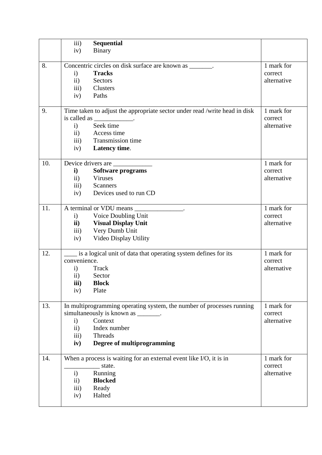|     | iii)               | <b>Sequential</b>                                                          |             |
|-----|--------------------|----------------------------------------------------------------------------|-------------|
|     | iv)                | <b>Binary</b>                                                              |             |
|     |                    |                                                                            |             |
| 8.  |                    | Concentric circles on disk surface are known as _______.                   | 1 mark for  |
|     | $\mathbf{i}$       | <b>Tracks</b>                                                              | correct     |
|     | $\mathbf{ii}$      | Sectors                                                                    | alternative |
|     | iii)               | Clusters                                                                   |             |
|     | iv)                | Paths                                                                      |             |
|     |                    |                                                                            |             |
| 9.  |                    | Time taken to adjust the appropriate sector under read /write head in disk | 1 mark for  |
|     |                    | is called as _____________.                                                | correct     |
|     | i)                 | Seek time                                                                  | alternative |
|     | $\mathbf{ii}$      | Access time                                                                |             |
|     |                    | iii) Transmission time                                                     |             |
|     | iv)                | Latency time.                                                              |             |
|     |                    |                                                                            |             |
| 10. |                    | Device drivers are                                                         | 1 mark for  |
|     | $\mathbf{i}$       | <b>Software programs</b>                                                   | correct     |
|     | $\mathbf{ii}$      | <b>Viruses</b>                                                             | alternative |
|     | $\overline{111}$ ) | <b>Scanners</b>                                                            |             |
|     | iv)                | Devices used to run CD                                                     |             |
| 11. |                    | A terminal or VDU means _______________.                                   | 1 mark for  |
|     | $\mathbf{i}$       | Voice Doubling Unit                                                        | correct     |
|     | $\mathbf{ii}$ )    | <b>Visual Display Unit</b>                                                 | alternative |
|     | iii)               | Very Dumb Unit                                                             |             |
|     | iv)                | Video Display Utility                                                      |             |
|     |                    |                                                                            |             |
| 12. |                    | is a logical unit of data that operating system defines for its            | 1 mark for  |
|     | convenience.       |                                                                            | correct     |
|     | $\mathbf{i}$       | Track                                                                      | alternative |
|     | $\rm ii)$          | Sector                                                                     |             |
|     | iii)               | <b>Block</b>                                                               |             |
|     | iv)                | Plate                                                                      |             |
|     |                    |                                                                            |             |
| 13. |                    | In multiprogramming operating system, the number of processes running      | 1 mark for  |
|     |                    | simultaneously is known as _______.                                        | correct     |
|     | $\mathbf{i}$       | Context                                                                    | alternative |
|     | ii)                | Index number                                                               |             |
|     | $\overline{iii}$   | Threads                                                                    |             |
|     | iv)                | Degree of multiprogramming                                                 |             |
| 14. |                    | When a process is waiting for an external event like I/O, it is in         | 1 mark for  |
|     |                    | state.                                                                     | correct     |
|     | $\mathbf{i}$       | Running                                                                    | alternative |
|     | $\rm ii)$          | <b>Blocked</b>                                                             |             |
|     | $\overline{111}$ ) | Ready                                                                      |             |
|     | iv)                | Halted                                                                     |             |
|     |                    |                                                                            |             |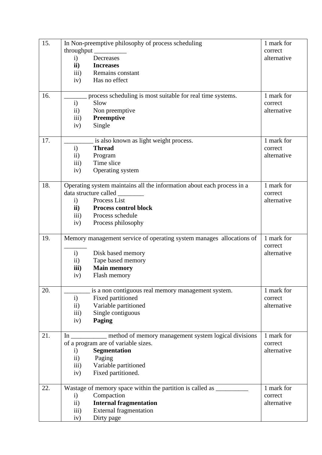| 15. |                         | In Non-preemptive philosophy of process scheduling                                | 1 mark for  |
|-----|-------------------------|-----------------------------------------------------------------------------------|-------------|
|     |                         | throughput                                                                        | correct     |
|     | $\mathbf{i}$            | Decreases                                                                         | alternative |
|     | $\mathbf{ii}$           | <b>Increases</b>                                                                  |             |
|     | $\overline{iii}$        | Remains constant                                                                  |             |
|     | iv)                     | Has no effect                                                                     |             |
|     |                         |                                                                                   |             |
| 16. |                         | process scheduling is most suitable for real time systems.                        | 1 mark for  |
|     | $\mathbf{i}$            | Slow                                                                              | correct     |
|     | $\mathbf{ii}$           | Non preemptive                                                                    | alternative |
|     | $\overline{111}$        | Preemptive                                                                        |             |
|     | iv)                     | Single                                                                            |             |
|     |                         |                                                                                   |             |
| 17. |                         | is also known as light weight process.                                            | 1 mark for  |
|     | $\mathbf{i}$            | <b>Thread</b>                                                                     | correct     |
|     | $\ddot{\text{11}})$     | Program                                                                           | alternative |
|     | $\overline{iii}$        | Time slice                                                                        |             |
|     | iv)                     | Operating system                                                                  |             |
|     |                         |                                                                                   |             |
| 18. |                         | Operating system maintains all the information about each process in a            | 1 mark for  |
|     |                         | data structure called ________                                                    | correct     |
|     | $\mathbf{i}$            | Process List                                                                      | alternative |
|     | $\mathbf{ii}$           | <b>Process control block</b>                                                      |             |
|     | $\overline{\text{iii}}$ | Process schedule                                                                  |             |
|     | iv)                     | Process philosophy                                                                |             |
| 19. |                         | Memory management service of operating system manages allocations of              | 1 mark for  |
|     |                         |                                                                                   | correct     |
|     | $\mathbf{i}$            | Disk based memory                                                                 | alternative |
|     | $\rm ii)$               | Tape based memory                                                                 |             |
|     | iii)                    | <b>Main memory</b>                                                                |             |
|     | iv)                     | Flash memory                                                                      |             |
|     |                         |                                                                                   |             |
| 20. |                         | is a non contiguous real memory management system.                                | 1 mark for  |
|     | $\mathbf{i}$            | Fixed partitioned                                                                 | correct     |
|     | $\rm ii)$               | Variable partitioned                                                              | alternative |
|     | iii)                    | Single contiguous                                                                 |             |
|     | iv)                     | Paging                                                                            |             |
|     |                         |                                                                                   |             |
| 21. |                         | In __________ method of memory management system logical divisions                | 1 mark for  |
|     |                         | of a program are of variable sizes.                                               | correct     |
|     | $\ddot{a}$              | Segmentation                                                                      | alternative |
|     | $\mathbf{ii}$           | Paging                                                                            |             |
|     | $\overline{\text{iii}}$ | Variable partitioned                                                              |             |
|     | iv)                     | Fixed partitioned.                                                                |             |
| 22. |                         | Wastage of memory space within the partition is called as _______________________ | 1 mark for  |
|     | $\mathbf{i}$            | Compaction                                                                        | correct     |
|     | $\rm ii)$               | <b>Internal fragmentation</b>                                                     | alternative |
|     | $\overline{\text{iii}}$ | <b>External fragmentation</b>                                                     |             |
|     | iv)                     | Dirty page                                                                        |             |
|     |                         |                                                                                   |             |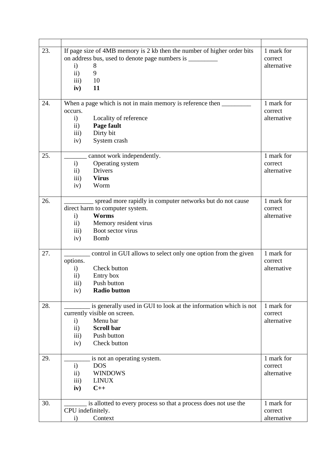| 23. | If page size of 4MB memory is 2 kb then the number of higher order bits | 1 mark for  |
|-----|-------------------------------------------------------------------------|-------------|
|     | on address bus, used to denote page numbers is _________                | correct     |
|     | $\mathbf{i}$<br>8                                                       | alternative |
|     | ii)<br>9                                                                |             |
|     | 10<br>$\overline{iii}$                                                  |             |
|     | 11<br>iv)                                                               |             |
|     |                                                                         |             |
| 24. | When a page which is not in main memory is reference then _______       | 1 mark for  |
|     | occurs.                                                                 | correct     |
|     | Locality of reference<br>$\mathbf{i}$                                   | alternative |
|     | Page fault<br>$\mathbf{ii}$                                             |             |
|     | Dirty bit<br>$\overline{iii}$                                           |             |
|     | System crash<br>iv)                                                     |             |
|     |                                                                         |             |
| 25. | cannot work independently.                                              | 1 mark for  |
|     | Operating system<br>$\mathbf{i}$                                        | correct     |
|     | Drivers<br>$\mathbf{ii}$                                                | alternative |
|     | <b>Virus</b><br>$\overline{iii}$                                        |             |
|     | Worm<br>iv)                                                             |             |
|     |                                                                         |             |
| 26. | spread more rapidly in computer networks but do not cause               | 1 mark for  |
|     | direct harm to computer system.                                         | correct     |
|     | <b>Worms</b><br>$\mathbf{i}$                                            | alternative |
|     | Memory resident virus<br>$\mathbf{ii}$                                  |             |
|     | Boot sector virus<br>$\overline{iii}$                                   |             |
|     |                                                                         |             |
|     | <b>Bomb</b><br>iv)                                                      |             |
| 27. | control in GUI allows to select only one option from the given          | 1 mark for  |
|     | options.                                                                | correct     |
|     | Check button<br>$\mathbf{i}$                                            | alternative |
|     | Entry box<br>$\rm ii)$                                                  |             |
|     | Push button                                                             |             |
|     | iii)<br><b>Radio button</b>                                             |             |
|     | iv)                                                                     |             |
| 28. | is generally used in GUI to look at the information which is not        | 1 mark for  |
|     | currently visible on screen.                                            | correct     |
|     | Menu bar<br>$\mathbf{i}$                                                | alternative |
|     | <b>Scroll bar</b><br>$\mathbf{ii}$                                      |             |
|     | Push button<br>$\overline{iii}$                                         |             |
|     | Check button<br>iv)                                                     |             |
|     |                                                                         |             |
| 29. | is not an operating system.                                             | 1 mark for  |
|     | <b>DOS</b><br>$\mathbf{i}$                                              | correct     |
|     | <b>WINDOWS</b><br>$\mathbf{ii}$                                         | alternative |
|     | <b>LINUX</b><br>$\overline{iii}$                                        |             |
|     | $C++$                                                                   |             |
|     | iv)                                                                     |             |
| 30. | is allotted to every process so that a process does not use the         | 1 mark for  |
|     | CPU indefinitely.                                                       | correct     |
|     | Context<br>$\mathbf{i}$                                                 | alternative |
|     |                                                                         |             |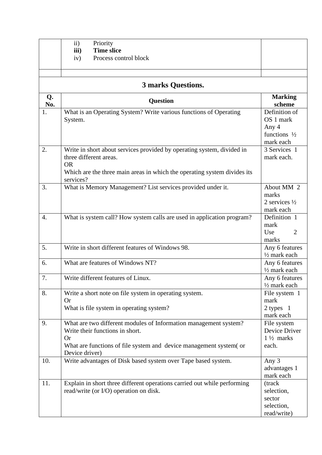|           | $\mathbf{ii}$<br>Priority                                                                           |                                               |
|-----------|-----------------------------------------------------------------------------------------------------|-----------------------------------------------|
|           | <b>Time slice</b><br>iii)                                                                           |                                               |
|           | Process control block<br>iv)                                                                        |                                               |
|           |                                                                                                     |                                               |
|           |                                                                                                     |                                               |
|           | <b>3 marks Questions.</b>                                                                           |                                               |
| Q.<br>No. | <b>Question</b>                                                                                     | <b>Marking</b><br>scheme                      |
| 1.        | What is an Operating System? Write various functions of Operating<br>System.                        | Definition of<br>OS 1 mark                    |
|           |                                                                                                     | Any 4<br>functions $\frac{1}{2}$<br>mark each |
| 2.        | Write in short about services provided by operating system, divided in<br>three different areas.    | 3 Services 1<br>mark each.                    |
|           | <b>OR</b><br>Which are the three main areas in which the operating system divides its<br>services?  |                                               |
| 3.        | What is Memory Management? List services provided under it.                                         | About MM 2<br>marks                           |
|           |                                                                                                     | 2 services $\frac{1}{2}$                      |
|           |                                                                                                     | mark each                                     |
| 4.        | What is system call? How system calls are used in application program?                              | Definition 1<br>mark                          |
|           |                                                                                                     | Use<br>$\overline{2}$                         |
|           |                                                                                                     | marks                                         |
| 5.        | Write in short different features of Windows 98.                                                    | Any 6 features<br>$\frac{1}{2}$ mark each     |
| 6.        | What are features of Windows NT?                                                                    | Any 6 features                                |
|           |                                                                                                     | $\frac{1}{2}$ mark each                       |
| 7.        | Write different features of Linux.                                                                  | Any 6 features<br>$\frac{1}{2}$ mark each     |
| 8.        | Write a short note on file system in operating system.<br><b>Or</b>                                 | File system 1<br>mark                         |
|           | What is file system in operating system?                                                            | 2 types 1                                     |
|           |                                                                                                     | mark each                                     |
| 9.        | What are two different modules of Information management system?<br>Write their functions in short. | File system<br>Device Driver                  |
|           | <b>Or</b>                                                                                           | $1\frac{1}{2}$ marks                          |
|           | What are functions of file system and device management system (or<br>Device driver)                | each.                                         |
| 10.       | Write advantages of Disk based system over Tape based system.                                       | Any 3                                         |
|           |                                                                                                     | advantages 1<br>mark each                     |
| 11.       | Explain in short three different operations carried out while performing                            | (track                                        |
|           | read/write (or I/O) operation on disk.                                                              | selection,                                    |
|           |                                                                                                     | sector                                        |
|           |                                                                                                     | selection,                                    |
|           |                                                                                                     | read/write)                                   |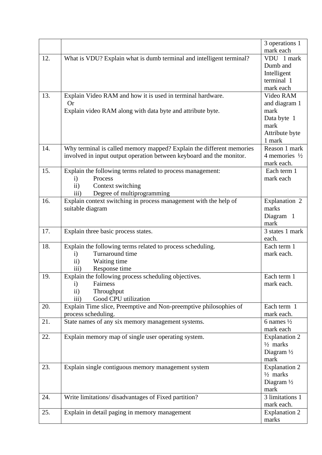|     |                                                                      | 3 operations 1            |
|-----|----------------------------------------------------------------------|---------------------------|
|     |                                                                      | mark each                 |
| 12. | What is VDU? Explain what is dumb terminal and intelligent terminal? | VDU 1 mark                |
|     |                                                                      | Dumb and                  |
|     |                                                                      | Intelligent               |
|     |                                                                      | terminal 1                |
|     |                                                                      | mark each                 |
| 13. | Explain Video RAM and how it is used in terminal hardware.           | Video RAM                 |
|     | <b>Or</b>                                                            | and diagram 1             |
|     | Explain video RAM along with data byte and attribute byte.           | mark                      |
|     |                                                                      | Data byte 1               |
|     |                                                                      | mark                      |
|     |                                                                      | Attribute byte            |
|     |                                                                      | 1 mark                    |
| 14. | Why terminal is called memory mapped? Explain the different memories | Reason 1 mark             |
|     | involved in input output operation between keyboard and the monitor. | 4 memories $\frac{1}{2}$  |
|     |                                                                      | mark each.                |
| 15. | Explain the following terms related to process management:           | Each term 1               |
|     | Process<br>$\mathbf{i}$                                              | mark each                 |
|     | Context switching<br>$\rm ii)$                                       |                           |
|     | Degree of multiprogramming<br>iii)                                   |                           |
| 16. | Explain context switching in process management with the help of     | Explanation 2             |
|     | suitable diagram                                                     | marks                     |
|     |                                                                      | Diagram 1                 |
|     |                                                                      | mark                      |
| 17. | Explain three basic process states.                                  | 3 states 1 mark           |
|     |                                                                      | each.                     |
| 18. | Explain the following terms related to process scheduling.           | Each term 1               |
|     | Turnaround time<br>$\ddot{1}$                                        | mark each.                |
|     | $\rm ii)$<br>Waiting time                                            |                           |
|     | Response time<br>$\overline{iii}$                                    |                           |
| 19. | Explain the following process scheduling objectives.                 | Each term 1               |
|     | $\mathbf{i}$<br>Fairness                                             | mark each.                |
|     | ii)<br>Throughput                                                    |                           |
|     | Good CPU utilization<br>iii)                                         |                           |
| 20. | Explain Time slice, Preemptive and Non-preemptive philosophies of    | Each term 1<br>mark each. |
| 21. | process scheduling.                                                  | 6 names $\frac{1}{2}$     |
|     | State names of any six memory management systems.                    | mark each                 |
| 22. | Explain memory map of single user operating system.                  | <b>Explanation 2</b>      |
|     |                                                                      | $\frac{1}{2}$ marks       |
|     |                                                                      | Diagram $\frac{1}{2}$     |
|     |                                                                      | mark                      |
| 23. | Explain single contiguous memory management system                   | <b>Explanation 2</b>      |
|     |                                                                      | $\frac{1}{2}$ marks       |
|     |                                                                      | Diagram $\frac{1}{2}$     |
|     |                                                                      | mark                      |
| 24. | Write limitations/ disadvantages of Fixed partition?                 | 3 limitations 1           |
|     |                                                                      | mark each.                |
| 25. | Explain in detail paging in memory management                        | <b>Explanation 2</b>      |
|     |                                                                      | marks                     |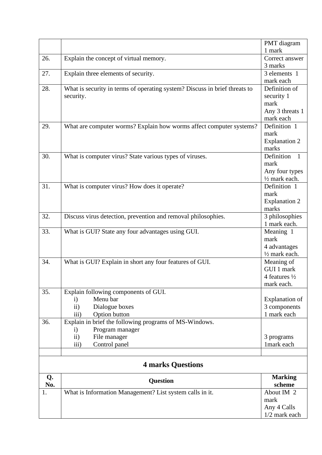|     |                                                                            | PMT diagram                   |
|-----|----------------------------------------------------------------------------|-------------------------------|
|     |                                                                            | 1 mark                        |
| 26. | Explain the concept of virtual memory.                                     | Correct answer                |
|     |                                                                            | 3 marks                       |
| 27. | Explain three elements of security.                                        | 3 elements 1                  |
|     |                                                                            | mark each                     |
| 28. | What is security in terms of operating system? Discuss in brief threats to | Definition of                 |
|     | security.                                                                  | security 1                    |
|     |                                                                            | mark                          |
|     |                                                                            | Any 3 threats 1               |
|     |                                                                            | mark each                     |
| 29. | What are computer worms? Explain how worms affect computer systems?        | Definition 1                  |
|     |                                                                            | mark                          |
|     |                                                                            | <b>Explanation 2</b>          |
|     |                                                                            | marks                         |
| 30. | What is computer virus? State various types of viruses.                    | Definition<br>$\overline{1}$  |
|     |                                                                            | mark                          |
|     |                                                                            | Any four types                |
|     |                                                                            | 1/2 mark each.                |
| 31. | What is computer virus? How does it operate?                               | Definition 1                  |
|     |                                                                            | mark                          |
|     |                                                                            | <b>Explanation 2</b><br>marks |
| 32. | Discuss virus detection, prevention and removal philosophies.              | 3 philosophies                |
|     |                                                                            | 1 mark each.                  |
| 33. | What is GUI? State any four advantages using GUI.                          | Meaning 1                     |
|     |                                                                            | mark                          |
|     |                                                                            | 4 advantages                  |
|     |                                                                            | 1/2 mark each.                |
| 34. | What is GUI? Explain in short any four features of GUI.                    | Meaning of                    |
|     |                                                                            | GUI 1 mark                    |
|     |                                                                            | 4 features $\frac{1}{2}$      |
|     |                                                                            | mark each.                    |
| 35. | Explain following components of GUI.                                       |                               |
|     | Menu bar<br>$\mathbf{i}$                                                   | <b>Explanation</b> of         |
|     | Dialogue boxes<br>$\ddot{11}$                                              | 3 components                  |
|     | iii)<br>Option button                                                      | 1 mark each                   |
| 36. | Explain in brief the following programs of MS-Windows.                     |                               |
|     | Program manager<br>$\mathbf{i}$                                            |                               |
|     | ii)<br>File manager                                                        | 3 programs                    |
|     | Control panel<br>iii)                                                      | 1mark each                    |
|     |                                                                            |                               |
|     | <b>4 marks Questions</b>                                                   |                               |
| Q.  | <b>Question</b>                                                            | <b>Marking</b>                |
| No. |                                                                            | scheme                        |
| 1.  | What is Information Management? List system calls in it.                   | About IM 2                    |
|     |                                                                            | mark                          |
|     |                                                                            | Any 4 Calls                   |
|     |                                                                            | 1/2 mark each                 |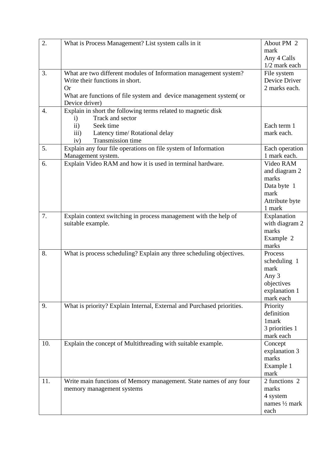| 2.               | What is Process Management? List system calls in it                    | About PM 2     |
|------------------|------------------------------------------------------------------------|----------------|
|                  |                                                                        | mark           |
|                  |                                                                        | Any 4 Calls    |
|                  |                                                                        | 1/2 mark each  |
| 3.               | What are two different modules of Information management system?       | File system    |
|                  | Write their functions in short.                                        | Device Driver  |
|                  | <b>Or</b>                                                              | 2 marks each.  |
|                  | What are functions of file system and device management system (or     |                |
|                  | Device driver)                                                         |                |
| $\overline{4}$ . | Explain in short the following terms related to magnetic disk          |                |
|                  | Track and sector<br>$\mathbf{i}$                                       |                |
|                  | Seek time<br>$\rm ii)$                                                 | Each term 1    |
|                  | iii)<br>Latency time/ Rotational delay                                 | mark each.     |
|                  | Transmission time<br>iv)                                               |                |
| 5.               | Explain any four file operations on file system of Information         | Each operation |
|                  | Management system.                                                     | 1 mark each.   |
| 6.               | Explain Video RAM and how it is used in terminal hardware.             | Video RAM      |
|                  |                                                                        | and diagram 2  |
|                  |                                                                        | marks          |
|                  |                                                                        | Data byte 1    |
|                  |                                                                        | mark           |
|                  |                                                                        | Attribute byte |
|                  |                                                                        | 1 mark         |
| 7.               | Explain context switching in process management with the help of       | Explanation    |
|                  | suitable example.                                                      | with diagram 2 |
|                  |                                                                        | marks          |
|                  |                                                                        | Example 2      |
|                  |                                                                        | marks          |
| 8.               | What is process scheduling? Explain any three scheduling objectives.   | Process        |
|                  |                                                                        | scheduling 1   |
|                  |                                                                        | mark           |
|                  |                                                                        | Any 3          |
|                  |                                                                        | objectives     |
|                  |                                                                        | explanation 1  |
|                  |                                                                        | mark each      |
| 9.               | What is priority? Explain Internal, External and Purchased priorities. | Priority       |
|                  |                                                                        | definition     |
|                  |                                                                        | 1mark          |
|                  |                                                                        | 3 priorities 1 |
|                  |                                                                        | mark each      |
| 10.              | Explain the concept of Multithreading with suitable example.           | Concept        |
|                  |                                                                        | explanation 3  |
|                  |                                                                        | marks          |
|                  |                                                                        | Example 1      |
|                  |                                                                        | mark           |
| 11.              | Write main functions of Memory management. State names of any four     | 2 functions 2  |
|                  | memory management systems                                              | marks          |
|                  |                                                                        | 4 system       |
|                  |                                                                        | names 1/2 mark |
|                  |                                                                        | each           |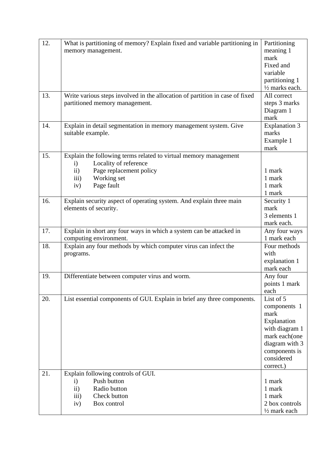| 12. | What is partitioning of memory? Explain fixed and variable partitioning in   | Partitioning                |
|-----|------------------------------------------------------------------------------|-----------------------------|
|     | memory management.                                                           | meaning 1                   |
|     |                                                                              | mark                        |
|     |                                                                              | Fixed and                   |
|     |                                                                              | variable                    |
|     |                                                                              | partitioning 1              |
|     |                                                                              | 1/2 marks each.             |
| 13. | Write various steps involved in the allocation of partition in case of fixed | All correct                 |
|     | partitioned memory management.                                               | steps 3 marks               |
|     |                                                                              | Diagram 1                   |
|     |                                                                              | mark                        |
| 14. | Explain in detail segmentation in memory management system. Give             | <b>Explanation 3</b>        |
|     | suitable example.                                                            | marks                       |
|     |                                                                              | Example 1                   |
|     |                                                                              | mark                        |
| 15. | Explain the following terms related to virtual memory management             |                             |
|     | Locality of reference<br>$\mathbf{i}$                                        |                             |
|     | Page replacement policy<br>$\rm ii)$                                         | 1 mark                      |
|     | Working set<br>$\overline{iii}$                                              | 1 mark                      |
|     | Page fault<br>iv)                                                            | 1 mark                      |
|     |                                                                              | 1 mark                      |
| 16. | Explain security aspect of operating system. And explain three main          | Security 1                  |
|     | elements of security.                                                        | mark                        |
|     |                                                                              | 3 elements 1                |
|     |                                                                              | mark each.                  |
| 17. | Explain in short any four ways in which a system can be attacked in          | Any four ways               |
|     | computing environment.                                                       | 1 mark each                 |
| 18. | Explain any four methods by which computer virus can infect the              | Four methods                |
|     | programs.                                                                    | with                        |
|     |                                                                              | explanation 1               |
|     |                                                                              | mark each                   |
| 19. | Differentiate between computer virus and worm.                               | Any four                    |
|     |                                                                              | points 1 mark               |
|     |                                                                              | each                        |
| 20. | List essential components of GUI. Explain in brief any three components.     | List of 5                   |
|     |                                                                              | components 1                |
|     |                                                                              | mark                        |
|     |                                                                              | Explanation                 |
|     |                                                                              | with diagram 1              |
|     |                                                                              | mark each(one               |
|     |                                                                              | diagram with 3              |
|     |                                                                              | components is<br>considered |
|     |                                                                              |                             |
| 21. |                                                                              | correct.)                   |
|     | Explain following controls of GUI.<br>Push button<br>$\mathbf{i}$            | 1 mark                      |
|     | $\mathbf{ii}$<br>Radio button                                                | 1 mark                      |
|     | Check button<br>$\overline{iii}$                                             | 1 mark                      |
|     | Box control<br>iv)                                                           | 2 box controls              |
|     |                                                                              | $\frac{1}{2}$ mark each     |
|     |                                                                              |                             |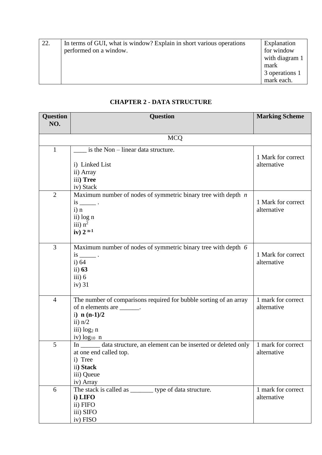| 22. | In terms of GUI, what is window? Explain in short various operations | Explanation    |
|-----|----------------------------------------------------------------------|----------------|
|     | performed on a window.                                               | for window     |
|     |                                                                      | with diagram 1 |
|     |                                                                      | mark           |
|     |                                                                      | 3 operations 1 |
|     |                                                                      | mark each.     |

#### **CHAPTER 2 - DATA STRUCTURE**

| <b>Question</b> | <b>Question</b>                                                                    | <b>Marking Scheme</b>             |  |  |  |
|-----------------|------------------------------------------------------------------------------------|-----------------------------------|--|--|--|
| NO.             |                                                                                    |                                   |  |  |  |
|                 | <b>MCQ</b>                                                                         |                                   |  |  |  |
| $\mathbf{1}$    | is the $Non - linear data structure.$                                              |                                   |  |  |  |
|                 | i) Linked List                                                                     | 1 Mark for correct<br>alternative |  |  |  |
|                 | ii) Array                                                                          |                                   |  |  |  |
|                 | iii) Tree                                                                          |                                   |  |  |  |
|                 | iv) Stack                                                                          |                                   |  |  |  |
| $\overline{2}$  | Maximum number of nodes of symmetric binary tree with depth $n$<br>$is$ $\qquad$ . | 1 Mark for correct                |  |  |  |
|                 | $i)$ n                                                                             | alternative                       |  |  |  |
|                 | ii) log n                                                                          |                                   |  |  |  |
|                 | iii) $n^2$                                                                         |                                   |  |  |  |
|                 | iv) $2^{n-1}$                                                                      |                                   |  |  |  |
| 3               | Maximum number of nodes of symmetric binary tree with depth 6                      |                                   |  |  |  |
|                 | $is$ $\qquad$ .                                                                    | 1 Mark for correct                |  |  |  |
|                 | $i)$ 64<br>ii) $63$                                                                | alternative                       |  |  |  |
|                 | iii) 6                                                                             |                                   |  |  |  |
|                 | $iv)$ 31                                                                           |                                   |  |  |  |
| $\overline{4}$  | The number of comparisons required for bubble sorting of an array                  | 1 mark for correct                |  |  |  |
|                 | of n elements are ________.                                                        | alternative                       |  |  |  |
|                 | i) $n(n-1)/2$                                                                      |                                   |  |  |  |
|                 | ii) $n/2$                                                                          |                                   |  |  |  |
|                 | iii) log <sub>2</sub> n<br>iv) $log_{10} n$                                        |                                   |  |  |  |
| 5               | data structure, an element can be inserted or deleted only                         | 1 mark for correct                |  |  |  |
|                 | at one end called top.                                                             | alternative                       |  |  |  |
|                 | i) Tree                                                                            |                                   |  |  |  |
|                 | ii) Stack                                                                          |                                   |  |  |  |
|                 | iii) Queue<br>iv) Array                                                            |                                   |  |  |  |
| 6               | The stack is called as ________ type of data structure.                            | 1 mark for correct                |  |  |  |
|                 | i) LIFO                                                                            | alternative                       |  |  |  |
|                 | ii) FIFO                                                                           |                                   |  |  |  |
|                 | iii) SIFO<br>iv) FISO                                                              |                                   |  |  |  |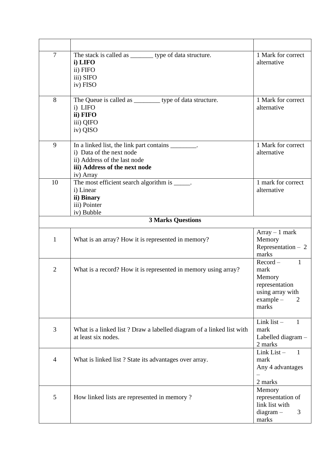| 7            | The stack is called as __________ type of data structure.<br>i) LIFO<br>ii) FIFO<br>iii) SIFO<br>iv) FISO                                                     | 1 Mark for correct<br>alternative                                                                               |
|--------------|---------------------------------------------------------------------------------------------------------------------------------------------------------------|-----------------------------------------------------------------------------------------------------------------|
| 8            | The Queue is called as ___________ type of data structure.<br>i) LIFO<br>ii) FIFO<br>iii) QIFO<br>iv) QISO                                                    | 1 Mark for correct<br>alternative                                                                               |
| 9            | In a linked list, the link part contains _________.<br>i) Data of the next node<br>ii) Address of the last node<br>iii) Address of the next node<br>iv) Array | 1 Mark for correct<br>alternative                                                                               |
| 10           | The most efficient search algorithm is $\frac{1}{\sqrt{2\pi}}$ .<br>i) Linear<br>ii) Binary<br>iii) Pointer<br>iv) Bubble                                     | 1 mark for correct<br>alternative                                                                               |
|              | <b>3 Marks Questions</b>                                                                                                                                      |                                                                                                                 |
| $\mathbf{1}$ | What is an array? How it is represented in memory?                                                                                                            | $Array - 1 mark$<br>Memory<br>Representation $-2$<br>marks                                                      |
| $\mathbf{2}$ | What is a record? How it is represented in memory using array?                                                                                                | $Record -$<br>$\mathbf{1}$<br>mark<br>Memory<br>representation<br>using array with<br>$example -$<br>2<br>marks |
| 3            | What is a linked list? Draw a labelled diagram of a linked list with<br>at least six nodes.                                                                   | Link list $-$<br>1<br>mark<br>Labelled diagram -<br>2 marks                                                     |
| 4            | What is linked list? State its advantages over array.                                                                                                         | $Link List -$<br>$\blacksquare$<br>mark<br>Any 4 advantages                                                     |
| 5            | How linked lists are represented in memory?                                                                                                                   | 2 marks<br>Memory<br>representation of<br>link list with<br>$diagram -$<br>3<br>marks                           |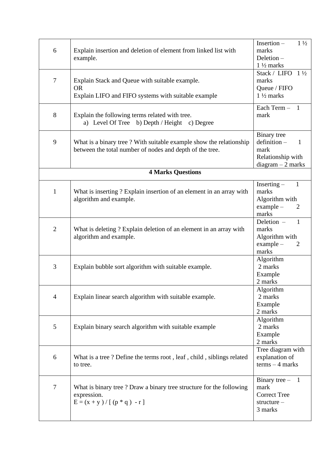| 6              | Explain insertion and deletion of element from linked list with<br>example.                                                    | Insertion-<br>$1\frac{1}{2}$<br>marks<br>Deletion-<br>$1\frac{1}{2}$ marks                       |
|----------------|--------------------------------------------------------------------------------------------------------------------------------|--------------------------------------------------------------------------------------------------|
| $\tau$         | Explain Stack and Queue with suitable example.<br><b>OR</b><br>Explain LIFO and FIFO systems with suitable example             | Stack / LIFO<br>$1\frac{1}{2}$<br>marks<br>Queue / FIFO<br>$1\frac{1}{2}$ marks                  |
| 8              | Explain the following terms related with tree.<br>a) Level Of Tree b) Depth / Height c) Degree                                 | Each Term - 1<br>mark                                                                            |
| 9              | What is a binary tree? With suitable example show the relationship<br>between the total number of nodes and depth of the tree. | Binary tree<br>$definition -$<br>1<br>mark<br>Relationship with<br>$diagram - 2 marks$           |
|                | <b>4 Marks Questions</b>                                                                                                       |                                                                                                  |
| $\mathbf{1}$   | What is inserting? Explain insertion of an element in an array with<br>algorithm and example.                                  | $Inserting -$<br>$\mathbf{1}$<br>marks<br>Algorithm with<br>example -<br>$\overline{2}$<br>marks |
| $\overline{2}$ | What is deleting ? Explain deletion of an element in an array with<br>algorithm and example.                                   | Deletion -<br>1<br>marks<br>Algorithm with<br>example -<br>$\overline{2}$<br>marks               |
| 3              | Explain bubble sort algorithm with suitable example.                                                                           | Algorithm<br>2 marks<br>Example<br>2 marks                                                       |
| $\overline{4}$ | Explain linear search algorithm with suitable example.                                                                         | Algorithm<br>2 marks<br>Example<br>2 marks                                                       |
| 5              | Explain binary search algorithm with suitable example                                                                          | Algorithm<br>2 marks<br>Example<br>2 marks                                                       |
| 6              | What is a tree? Define the terms root, leaf, child, siblings related<br>to tree.                                               | Tree diagram with<br>explanation of<br>$terms - 4 marks$                                         |
| 7              | What is binary tree? Draw a binary tree structure for the following<br>expression.<br>$E = (x + y) / [(p * q) - r]$            | Binary tree $-$<br>$\overline{1}$<br>mark<br><b>Correct Tree</b><br>structure -<br>3 marks       |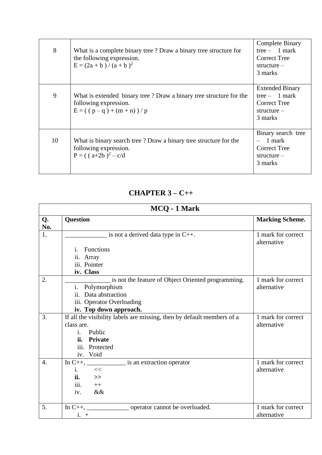| 8  | What is a complete binary tree? Draw a binary tree structure for<br>the following expression.<br>$E = (2a + b)/(a + b)^2$      | <b>Complete Binary</b><br>tree $-1$ mark<br><b>Correct Tree</b><br>$structure -$<br>3 marks |
|----|--------------------------------------------------------------------------------------------------------------------------------|---------------------------------------------------------------------------------------------|
| 9  | What is extended binary tree? Draw a binary tree structure for the<br>following expression.<br>$E = ( (p - q) + (m + n) ) / p$ | <b>Extended Binary</b><br>tree $-1$ mark<br><b>Correct Tree</b><br>$structure -$<br>3 marks |
| 10 | What is binary search tree? Draw a binary tree structure for the<br>following expression.<br>$P = ((a+2b)^2 - c/d)$            | Binary search tree<br>1 mark<br><b>Correct Tree</b><br>$structure -$<br>3 marks             |

#### **CHAPTER 3 – C++**

| MCQ - 1 Mark     |                                                                        |                                   |
|------------------|------------------------------------------------------------------------|-----------------------------------|
| Q.<br>No.        | <b>Question</b>                                                        | <b>Marking Scheme.</b>            |
| 1.               | is not a derived data type in $C_{++}$ .                               | 1 mark for correct<br>alternative |
|                  | <b>Functions</b><br>i.                                                 |                                   |
|                  | ii. Array                                                              |                                   |
|                  | iii. Pointer                                                           |                                   |
|                  | iv. Class                                                              |                                   |
| 2.               | is not the feature of Object Oriented programming.                     | 1 mark for correct                |
|                  | i. Polymorphism                                                        | alternative                       |
|                  | Data abstraction<br>ii.                                                |                                   |
|                  | iii. Operator Overloading                                              |                                   |
|                  | iv. Top down approach.                                                 |                                   |
| 3.               | If all the visibility labels are missing, then by default members of a | 1 mark for correct                |
|                  | class are.                                                             | alternative                       |
|                  | Public<br>i.                                                           |                                   |
|                  | ii. Private                                                            |                                   |
|                  | iii. Protected                                                         |                                   |
|                  | iv. Void                                                               |                                   |
| $\overline{4}$ . |                                                                        | 1 mark for correct                |
|                  | $<<$<br>$\mathbf{1}$ .                                                 | alternative                       |
|                  | <b>ii.</b><br>$\gt$                                                    |                                   |
|                  | iii.<br>$++$                                                           |                                   |
|                  | iv.<br>&&                                                              |                                   |
| 5.               | In $C_{++}$ , _____________________ operator cannot be overloaded.     | 1 mark for correct                |
|                  | $i. +$                                                                 | alternative                       |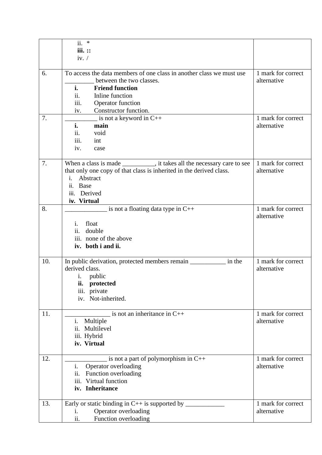|     | ii.<br>$\ast$                                                            |                    |
|-----|--------------------------------------------------------------------------|--------------------|
|     | iii. ::                                                                  |                    |
|     | iv. $\sqrt{ }$                                                           |                    |
|     |                                                                          |                    |
| 6.  | To access the data members of one class in another class we must use     | 1 mark for correct |
|     | between the two classes.                                                 | alternative        |
|     | <b>Friend function</b><br>i.                                             |                    |
|     | Inline function<br>11.                                                   |                    |
|     | iii.<br>Operator function                                                |                    |
|     | Constructor function.<br>iv.                                             |                    |
| 7.  | is not a keyword in $C++$                                                | 1 mark for correct |
|     | i.<br>main                                                               | alternative        |
|     | void<br>ii.                                                              |                    |
|     | iii.<br>int                                                              |                    |
|     | iv.<br>case                                                              |                    |
|     |                                                                          |                    |
| 7.  | When a class is made ___________, it takes all the necessary care to see | 1 mark for correct |
|     | that only one copy of that class is inherited in the derived class.      | alternative        |
|     | Abstract<br>i.                                                           |                    |
|     | Base<br>ii.                                                              |                    |
|     | Derived<br>iii.                                                          |                    |
|     | iv. Virtual                                                              |                    |
| 8.  | is not a floating data type in $C++$                                     | 1 mark for correct |
|     |                                                                          | alternative        |
|     | float<br>i.                                                              |                    |
|     | ii. double                                                               |                    |
|     | iii. none of the above                                                   |                    |
|     | iv. both i and ii.                                                       |                    |
|     |                                                                          |                    |
| 10. | In public derivation, protected members remain _____________ in the      | 1 mark for correct |
|     | derived class.                                                           | alternative        |
|     | i. public                                                                |                    |
|     | protected<br>îi.                                                         |                    |
|     | iii. private                                                             |                    |
|     | iv. Not-inherited.                                                       |                    |
|     |                                                                          |                    |
| 11. | is not an inheritance in $C++$                                           | 1 mark for correct |
|     | Multiple<br>i.                                                           | alternative        |
|     | ii.<br>Multilevel                                                        |                    |
|     | iii. Hybrid                                                              |                    |
|     | iv. Virtual                                                              |                    |
|     |                                                                          |                    |
| 12. | is not a part of polymorphism in C++                                     | 1 mark for correct |
|     | i.<br>Operator overloading                                               | alternative        |
|     | ii.<br>Function overloading                                              |                    |
|     | Virtual function<br>iii.                                                 |                    |
|     | iv. Inheritance                                                          |                    |
|     |                                                                          |                    |
| 13. | Early or static binding in $C++$ is supported by ______                  | 1 mark for correct |
|     | Operator overloading<br>i.                                               | alternative        |
|     | ii.<br>Function overloading                                              |                    |
|     |                                                                          |                    |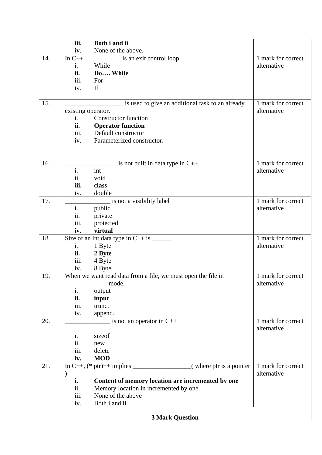|     | iii.                   | Both i and ii                                                           |                    |  |
|-----|------------------------|-------------------------------------------------------------------------|--------------------|--|
|     | iv.                    | None of the above.                                                      |                    |  |
| 14. |                        | is an exit control loop.                                                | 1 mark for correct |  |
|     | i.                     | While                                                                   | alternative        |  |
|     | ii.                    | Do While                                                                |                    |  |
|     | iii.                   | For                                                                     |                    |  |
|     | iv.                    | If                                                                      |                    |  |
|     |                        |                                                                         |                    |  |
| 15. |                        | is used to give an additional task to an already                        | 1 mark for correct |  |
|     | existing operator.     |                                                                         | alternative        |  |
|     | i.                     | <b>Constructor function</b>                                             |                    |  |
|     | ii.                    | <b>Operator function</b>                                                |                    |  |
|     | iii.                   | Default constructor                                                     |                    |  |
|     | iv.                    | Parameterized constructor.                                              |                    |  |
|     |                        |                                                                         |                    |  |
|     |                        |                                                                         |                    |  |
| 16. |                        | is not built in data type in $C_{++}$ .                                 | 1 mark for correct |  |
|     | i.                     | int                                                                     | alternative        |  |
|     | ii.<br>iii.            | void                                                                    |                    |  |
|     |                        | class<br>double                                                         |                    |  |
| 17. | iv.                    | _ is not a visibility label                                             | 1 mark for correct |  |
|     | $\mathbf{i}$ .         | public                                                                  | alternative        |  |
|     | ii.                    | private                                                                 |                    |  |
|     | iii.                   | protected                                                               |                    |  |
|     | iv.                    | virtual                                                                 |                    |  |
| 18. |                        |                                                                         | 1 mark for correct |  |
|     | i.                     | 1 Byte                                                                  | alternative        |  |
|     | ii.                    | 2 Byte                                                                  |                    |  |
|     | iii.                   | 4 Byte                                                                  |                    |  |
|     | iv.                    | 8 Byte                                                                  |                    |  |
| 19. |                        | When we want read data from a file, we must open the file in            | 1 mark for correct |  |
|     |                        | mode.                                                                   | alternative        |  |
|     | i.                     | output                                                                  |                    |  |
|     | ii.                    | input                                                                   |                    |  |
|     | iii.                   | trunc.                                                                  |                    |  |
|     | iv.                    | append.                                                                 |                    |  |
| 20. |                        | is not an operator in $C++$                                             | 1 mark for correct |  |
|     |                        |                                                                         | alternative        |  |
|     | i.                     | sizeof                                                                  |                    |  |
|     | ii.                    | new                                                                     |                    |  |
|     | iii.                   | delete                                                                  |                    |  |
|     | iv.                    | <b>MOD</b>                                                              |                    |  |
| 21. |                        | In C++, $(*)$ ptr)++ $\frac{1}{\text{implies}}$ (where ptr is a pointer | 1 mark for correct |  |
|     | $\mathcal{E}$          |                                                                         | alternative        |  |
|     | i.                     | Content of memory location are incremented by one                       |                    |  |
|     | ii.<br>iii.            | Memory location in incremented by one.<br>None of the above             |                    |  |
|     |                        | Both i and ii.                                                          |                    |  |
|     | iv.                    |                                                                         |                    |  |
|     | <b>3 Mark Question</b> |                                                                         |                    |  |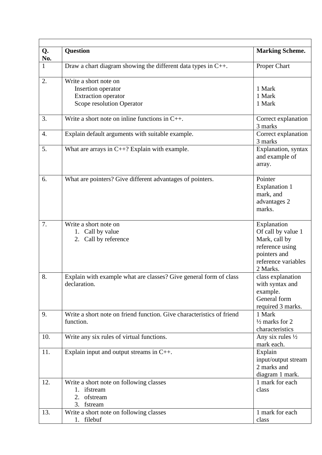| Q.          | <b>Question</b>                                                                           | <b>Marking Scheme.</b>                                                                                                   |
|-------------|-------------------------------------------------------------------------------------------|--------------------------------------------------------------------------------------------------------------------------|
| No.         |                                                                                           |                                                                                                                          |
| $\mathbf 1$ | Draw a chart diagram showing the different data types in $C_{++}$ .                       | Proper Chart                                                                                                             |
| 2.          | Write a short note on                                                                     |                                                                                                                          |
|             | Insertion operator                                                                        | 1 Mark                                                                                                                   |
|             | <b>Extraction operator</b>                                                                | 1 Mark                                                                                                                   |
|             | Scope resolution Operator                                                                 | 1 Mark                                                                                                                   |
|             |                                                                                           |                                                                                                                          |
| 3.          | Write a short note on inline functions in $C_{++}$ .                                      | Correct explanation<br>3 marks                                                                                           |
| 4.          | Explain default arguments with suitable example.                                          | Correct explanation<br>3 marks                                                                                           |
| 5.          | What are arrays in $C++$ ? Explain with example.                                          | Explanation, syntax<br>and example of<br>array.                                                                          |
| 6.          | What are pointers? Give different advantages of pointers.                                 | Pointer<br><b>Explanation 1</b><br>mark, and<br>advantages 2<br>marks.                                                   |
| 7.          | Write a short note on<br>1. Call by value<br>2. Call by reference                         | Explanation<br>Of call by value 1<br>Mark, call by<br>reference using<br>pointers and<br>reference variables<br>2 Marks. |
| 8.          | Explain with example what are classes? Give general form of class<br>declaration.         | class explanation<br>with syntax and<br>example.<br>General form<br>required 3 marks.                                    |
| 9.          | Write a short note on friend function. Give characteristics of friend<br>function.        | 1 Mark<br>$\frac{1}{2}$ marks for 2<br>characteristics                                                                   |
| 10.         | Write any six rules of virtual functions.                                                 | Any six rules $\frac{1}{2}$<br>mark each.                                                                                |
| 11.         | Explain input and output streams in $C_{++}$ .                                            | Explain<br>input/output stream<br>2 marks and<br>diagram 1 mark.                                                         |
| 12.         | Write a short note on following classes<br>1. ifstream<br>ofstream<br>2.<br>3.<br>fstream | 1 mark for each<br>class                                                                                                 |
| 13.         | Write a short note on following classes                                                   | 1 mark for each                                                                                                          |
|             | filebuf<br>1.                                                                             | class                                                                                                                    |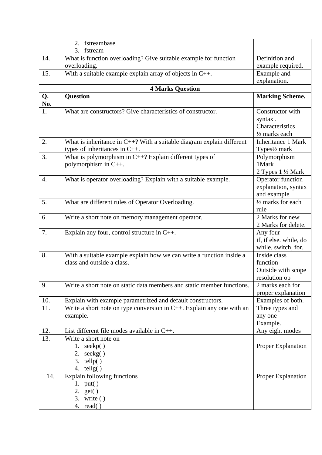|           | fstreambase<br>2.                                                        |                                        |
|-----------|--------------------------------------------------------------------------|----------------------------------------|
|           | 3. fstream                                                               |                                        |
| 14.       | What is function overloading? Give suitable example for function         | Definition and                         |
|           | overloading.                                                             | example required.                      |
| 15.       | With a suitable example explain array of objects in $C_{++}$ .           | Example and                            |
|           |                                                                          | explanation.                           |
|           | <b>4 Marks Question</b>                                                  |                                        |
| Q.<br>No. | <b>Question</b>                                                          | <b>Marking Scheme.</b>                 |
| 1.        | What are constructors? Give characteristics of constructor.              | Constructor with                       |
|           |                                                                          | syntax.                                |
|           |                                                                          | Characteristics                        |
|           |                                                                          | 1/2 marks each                         |
| 2.        | What is inheritance in $C++$ ? With a suitable diagram explain different | <b>Inheritance 1 Mark</b>              |
|           | types of inheritances in $C_{++}$ .                                      | Types <sup>1</sup> / <sub>2</sub> mark |
| 3.        | What is polymorphism in $C++$ ? Explain different types of               | Polymorphism                           |
|           | polymorphism in C++.                                                     | 1 Mark                                 |
|           |                                                                          | 2 Types $1\frac{1}{2}$ Mark            |
| 4.        | What is operator overloading? Explain with a suitable example.           | Operator function                      |
|           |                                                                          | explanation, syntax                    |
|           |                                                                          | and example                            |
| 5.        | What are different rules of Operator Overloading.                        | $\frac{1}{2}$ marks for each           |
|           |                                                                          | rule                                   |
| 6.        | Write a short note on memory management operator.                        | 2 Marks for new                        |
|           |                                                                          | 2 Marks for delete.                    |
| 7.        | Explain any four, control structure in C++.                              | Any four                               |
|           |                                                                          | if, if else. while, do                 |
|           |                                                                          | while, switch, for.                    |
| 8.        | With a suitable example explain how we can write a function inside a     | Inside class                           |
|           | class and outside a class.                                               | function                               |
|           |                                                                          | Outside with scope                     |
|           |                                                                          | resolution op                          |
| 9.        | Write a short note on static data members and static member functions.   | 2 marks each for                       |
|           |                                                                          | proper explanation                     |
| 10.       | Explain with example parametrized and default constructors.              | Examples of both.                      |
| 11.       | Write a short note on type conversion in $C++$ . Explain any one with an | Three types and                        |
|           | example.                                                                 | any one                                |
|           |                                                                          | Example.                               |
| 12.       | List different file modes available in $C_{++}$ .                        | Any eight modes                        |
| 13.       | Write a short note on                                                    |                                        |
|           | 1. $seekp()$                                                             | <b>Proper Explanation</b>              |
|           | 2. $seekg()$                                                             |                                        |
|           | 3. $telly()$                                                             |                                        |
|           | 4. tellg $()$                                                            |                                        |
| 14.       | <b>Explain following functions</b>                                       | Proper Explanation                     |
|           | 1. $put()$                                                               |                                        |
|           | 2. $get()$                                                               |                                        |
|           | 3. write $()$                                                            |                                        |
|           | 4. $read()$                                                              |                                        |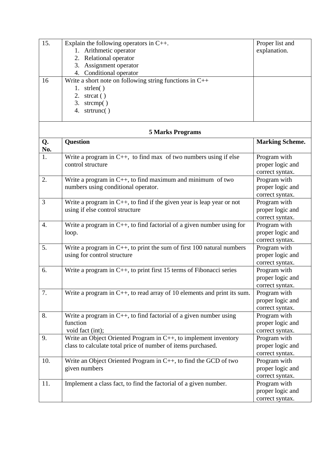| 15. | Explain the following operators in $C_{++}$ .             | Proper list and |
|-----|-----------------------------------------------------------|-----------------|
|     | 1. Arithmetic operator                                    | explanation.    |
|     | 2. Relational operator                                    |                 |
|     | 3. Assignment operator                                    |                 |
|     | 4. Conditional operator                                   |                 |
| 16  | Write a short note on following string functions in $C++$ |                 |
|     | strlen()                                                  |                 |
|     | 2. strcat $()$                                            |                 |
|     | 3.<br>strcmp $()$                                         |                 |
|     | strtrunc $()$<br>4.                                       |                 |
|     |                                                           |                 |

#### **5 Marks Programs**

| Q.<br>No. | <b>Question</b>                                                                                                                 | <b>Marking Scheme.</b>                              |
|-----------|---------------------------------------------------------------------------------------------------------------------------------|-----------------------------------------------------|
| 1.        | Write a program in $C_{++}$ , to find max of two numbers using if else<br>control structure                                     | Program with<br>proper logic and<br>correct syntax. |
| 2.        | Write a program in $C_{++}$ , to find maximum and minimum of two<br>numbers using conditional operator.                         | Program with<br>proper logic and<br>correct syntax. |
| 3         | Write a program in $C_{++}$ , to find if the given year is leap year or not<br>using if else control structure                  | Program with<br>proper logic and<br>correct syntax. |
| 4.        | Write a program in $C_{++}$ , to find factorial of a given number using for<br>loop.                                            | Program with<br>proper logic and<br>correct syntax. |
| 5.        | Write a program in $C_{++}$ , to print the sum of first 100 natural numbers<br>using for control structure                      | Program with<br>proper logic and<br>correct syntax. |
| 6.        | Write a program in $C_{++}$ , to print first 15 terms of Fibonacci series                                                       | Program with<br>proper logic and<br>correct syntax. |
| 7.        | Write a program in $C_{++}$ , to read array of 10 elements and print its sum.                                                   | Program with<br>proper logic and<br>correct syntax. |
| 8.        | Write a program in $C_{++}$ , to find factorial of a given number using<br>function<br>void fact (int);                         | Program with<br>proper logic and<br>correct syntax. |
| 9.        | Write an Object Oriented Program in C++, to implement inventory<br>class to calculate total price of number of items purchased. | Program with<br>proper logic and<br>correct syntax. |
| 10.       | Write an Object Oriented Program in C++, to find the GCD of two<br>given numbers                                                | Program with<br>proper logic and<br>correct syntax. |
| 11.       | Implement a class fact, to find the factorial of a given number.                                                                | Program with<br>proper logic and<br>correct syntax. |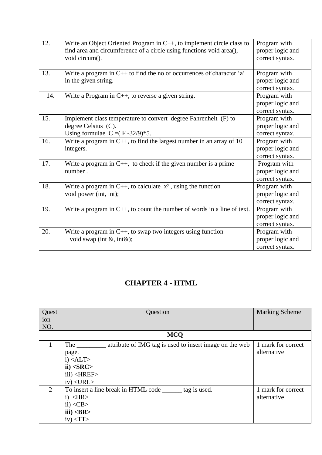| 12. | Write an Object Oriented Program in C++, to implement circle class to<br>find area and circumference of a circle using functions void area(),<br>void circum(). | Program with<br>proper logic and<br>correct syntax. |
|-----|-----------------------------------------------------------------------------------------------------------------------------------------------------------------|-----------------------------------------------------|
| 13. | Write a program in $C++$ to find the no of occurrences of character 'a'<br>in the given string.                                                                 | Program with<br>proper logic and<br>correct syntax. |
| 14. | Write a Program in C++, to reverse a given string.                                                                                                              | Program with<br>proper logic and<br>correct syntax. |
| 15. | Implement class temperature to convert degree Fahrenheit (F) to<br>degree Celsius (C).<br>Using formulae $C = (F - 32/9) * 5$ .                                 | Program with<br>proper logic and<br>correct syntax. |
| 16. | Write a program in $C_{++}$ , to find the largest number in an array of 10<br>integers.                                                                         | Program with<br>proper logic and<br>correct syntax. |
| 17. | Write a program in $C_{++}$ , to check if the given number is a prime<br>number.                                                                                | Program with<br>proper logic and<br>correct syntax. |
| 18. | Write a program in C++, to calculate $x^y$ , using the function<br>void power (int, int);                                                                       | Program with<br>proper logic and<br>correct syntax. |
| 19. | Write a program in $C_{++}$ , to count the number of words in a line of text.                                                                                   | Program with<br>proper logic and<br>correct syntax. |
| 20. | Write a program in $C_{++}$ , to swap two integers using function<br>void swap (int $\&$ , int $\&$ );                                                          | Program with<br>proper logic and<br>correct syntax. |

## **CHAPTER 4 - HTML**

| Quest          | Question                                                 | <b>Marking Scheme</b> |
|----------------|----------------------------------------------------------|-----------------------|
| ion            |                                                          |                       |
| NO.            |                                                          |                       |
|                | <b>MCQ</b>                                               |                       |
| 1              | attribute of IMG tag is used to insert image on the web  | 1 mark for correct    |
|                | page.                                                    | alternative           |
|                | $i)$ <alt></alt>                                         |                       |
|                | ii) < SRC                                                |                       |
|                | $iii)$ < $HREF$                                          |                       |
|                | $iv)$ < URL >                                            |                       |
| $\overline{2}$ | To insert a line break in HTML code _______ tag is used. | 1 mark for correct    |
|                | $i)$ < HR >                                              | alternative           |
|                | $\langle$ ii) <cb></cb>                                  |                       |
|                | iii) < <b>BR</b>                                         |                       |
|                | $iv$ $\langle TT \rangle$                                |                       |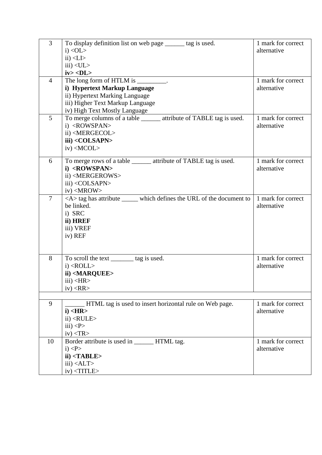| $\overline{3}$ | To display definition list on web page ______ tag is used.               | 1 mark for correct |
|----------------|--------------------------------------------------------------------------|--------------------|
|                | $i)$ < OL >                                                              | alternative        |
|                | $ii)$ <li></li>                                                          |                    |
|                | $iii)$ <ul<math>&gt;</ul<math>                                           |                    |
|                | iv > <b>DL</b>                                                           |                    |
| $\overline{4}$ | The long form of HTLM is _________.                                      | 1 mark for correct |
|                | i) Hypertext Markup Language                                             | alternative        |
|                | ii) Hypertext Marking Language                                           |                    |
|                | iii) Higher Text Markup Language                                         |                    |
|                | iv) High Text Mostly Language                                            |                    |
| 5              | To merge columns of a table _______ attribute of TABLE tag is used.      | 1 mark for correct |
|                | i) <rowspan></rowspan>                                                   | alternative        |
|                | ii) <mergecol></mergecol>                                                |                    |
|                | iii) <colsapn></colsapn>                                                 |                    |
|                | iv) <mcol></mcol>                                                        |                    |
| 6              | To merge rows of a table ______ attribute of TABLE tag is used.          | 1 mark for correct |
|                | i) <rowspan></rowspan>                                                   | alternative        |
|                | ii) <mergerows></mergerows>                                              |                    |
|                | iii) <colsapn></colsapn>                                                 |                    |
|                | $iv)$ <mrow></mrow>                                                      |                    |
| $\overline{7}$ | <a>tag has attribute ______ which defines the URL of the document to</a> | 1 mark for correct |
|                | be linked.                                                               | alternative        |
|                | i) SRC                                                                   |                    |
|                | ii) HREF                                                                 |                    |
|                | iii) VREF                                                                |                    |
|                | iv) REF                                                                  |                    |
|                |                                                                          |                    |
|                |                                                                          |                    |
| 8              | To scroll the text _______ tag is used.                                  | 1 mark for correct |
|                | $i)$ <roll></roll>                                                       | alternative        |
|                | ii) <marquee></marquee>                                                  |                    |
|                | $iii)$ <hr/>                                                             |                    |
|                | $iv)$ <rr></rr>                                                          |                    |
|                |                                                                          |                    |
| 9              | HTML tag is used to insert horizontal rule on Web page.                  | 1 mark for correct |
|                | $i)$ <hr/>                                                               | alternative        |
|                | $ii)$ < RULE >                                                           |                    |
|                | iii) < P>                                                                |                    |
|                | $iv)$ <tr></tr>                                                          |                    |
|                |                                                                          |                    |
| 10             | Border attribute is used in ________ HTML tag.                           | 1 mark for correct |
|                | i) < P>                                                                  | alternative        |
|                | $ii) <$ TABLE>                                                           |                    |
|                | $iii)$ <alt></alt>                                                       |                    |
|                | $iv)$ <title></title>                                                    |                    |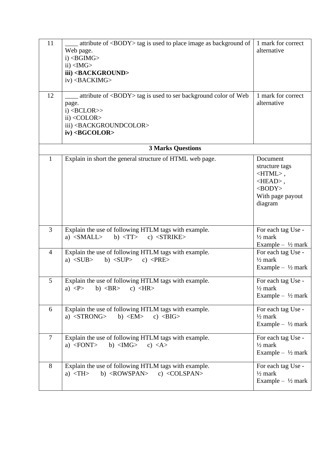| 11<br>12       | attribute of <body> tag is used to place image as background of<br/>Web page.<br/><math>i)</math> <bgimg><br/><math>ii)</math> <img/><br/>iii) <background><br/>iv) <backimg><br/>attribute of <body> tag is used to ser background color of Web<br/>page.<br/><math>i)</math> <bclor>&gt;<br/><math>ii) &lt;</math>COLOR&gt;<br/>iii) <backgroundcolor><br/><math>iv)</math> <bgcolor></bgcolor></backgroundcolor></bclor></body></backimg></background></bgimg></body> | 1 mark for correct<br>alternative<br>1 mark for correct<br>alternative                                                            |
|----------------|--------------------------------------------------------------------------------------------------------------------------------------------------------------------------------------------------------------------------------------------------------------------------------------------------------------------------------------------------------------------------------------------------------------------------------------------------------------------------|-----------------------------------------------------------------------------------------------------------------------------------|
|                | <b>3 Marks Questions</b>                                                                                                                                                                                                                                                                                                                                                                                                                                                 |                                                                                                                                   |
| 1              | Explain in short the general structure of HTML web page.                                                                                                                                                                                                                                                                                                                                                                                                                 | Document<br>structure tags<br>$\langle$ HTML $>$ ,<br>$\langle \text{HEAD} \rangle$ ,<br>$<$ BODY><br>With page payout<br>diagram |
| $\overline{3}$ | Explain the use of following HTLM tags with example.<br>a) $<$ SMALL $>$<br>b) $\langle TT \rangle$<br>c) $<$ STRIKE>                                                                                                                                                                                                                                                                                                                                                    | For each tag Use -<br>$\frac{1}{2}$ mark<br>Example $ \frac{1}{2}$ mark                                                           |
| $\overline{4}$ | Explain the use of following HTLM tags with example.<br>a) $<$ SUB $>$<br>b) $<$ SUP $>$<br>c) $\langle$ PRE>                                                                                                                                                                                                                                                                                                                                                            | For each tag Use -<br>$\frac{1}{2}$ mark<br>Example $ \frac{1}{2}$ mark                                                           |
| 5              | Explain the use of following HTLM tags with example.<br>b) $\langle BR \rangle$<br>a) $\langle P \rangle$<br>c) $\langle HR \rangle$                                                                                                                                                                                                                                                                                                                                     | For each tag Use -<br>$\frac{1}{2}$ mark<br>Example $ \frac{1}{2}$ mark                                                           |
| 6              | Explain the use of following HTLM tags with example.<br>a) $\langle$ STRONG $>$<br>b) $\langle EM \rangle$<br>c) $\langle BIG \rangle$                                                                                                                                                                                                                                                                                                                                   | For each tag Use -<br>$\frac{1}{2}$ mark<br>Example $ \frac{1}{2}$ mark                                                           |
| $\overline{7}$ | Explain the use of following HTLM tags with example.<br>a) $\langle$ FONT $>$<br>b) $\langle M G \rangle$<br>c) $\langle A \rangle$                                                                                                                                                                                                                                                                                                                                      | For each tag Use -<br>$\frac{1}{2}$ mark<br>Example $ \frac{1}{2}$ mark                                                           |
| 8              | Explain the use of following HTLM tags with example.<br>b) $\langle \text{ROWSPAN}\rangle$<br>c) $\langle COLSPAN \rangle$<br>a) $\langle TH \rangle$                                                                                                                                                                                                                                                                                                                    | For each tag Use -<br>$\frac{1}{2}$ mark<br>Example $-$ 1/2 mark                                                                  |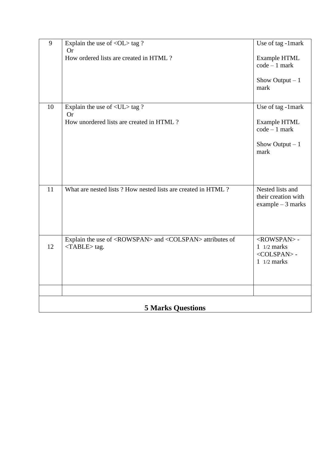| 9                        | Explain the use of $\langle$ OL $>$ tag ?                                                                       | Use of tag -1mark                                                                                   |  |  |
|--------------------------|-----------------------------------------------------------------------------------------------------------------|-----------------------------------------------------------------------------------------------------|--|--|
|                          | <b>Or</b><br>How ordered lists are created in HTML?                                                             | Example HTML<br>$code - 1 mark$<br>Show Output $-1$<br>mark                                         |  |  |
|                          |                                                                                                                 |                                                                                                     |  |  |
| 10                       | Explain the use of $\langle$ UL $>$ tag ?<br><b>Or</b>                                                          | Use of tag -1mark                                                                                   |  |  |
|                          | How unordered lists are created in HTML?                                                                        | <b>Example HTML</b><br>$code - 1 mark$                                                              |  |  |
|                          |                                                                                                                 | Show Output $-1$<br>mark                                                                            |  |  |
|                          |                                                                                                                 |                                                                                                     |  |  |
| 11                       | What are nested lists? How nested lists are created in HTML?                                                    | Nested lists and<br>their creation with<br>example $-3$ marks                                       |  |  |
| 12                       | Explain the use of <rowspan> and <colspan> attributes of<br/><math>&lt;</math>TABLE&gt;tag.</colspan></rowspan> | <rowspan>-<br/><math>1/2</math> marks<br/><colspan>-<br/><math>1/2</math> marks</colspan></rowspan> |  |  |
|                          |                                                                                                                 |                                                                                                     |  |  |
|                          |                                                                                                                 |                                                                                                     |  |  |
| <b>5 Marks Questions</b> |                                                                                                                 |                                                                                                     |  |  |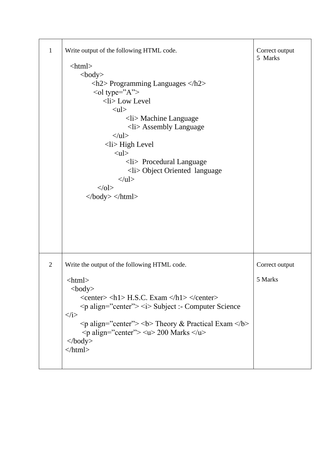| $\mathbf{1}$   | Write output of the following HTML code.                                                                                                                                                                                                                                                                                                                                                                                                                                                                                                                                                                                                                                               | Correct output<br>5 Marks |
|----------------|----------------------------------------------------------------------------------------------------------------------------------------------------------------------------------------------------------------------------------------------------------------------------------------------------------------------------------------------------------------------------------------------------------------------------------------------------------------------------------------------------------------------------------------------------------------------------------------------------------------------------------------------------------------------------------------|---------------------------|
|                | $\langle$ html $>$<br>$<$ body $>$<br>$\langle h2 \rangle$ Programming Languages $\langle h2 \rangle$<br>$\le$ ol type="A"><br><li> Low Level<br/><math>&lt;</math>ul<math>&gt;</math><br/><math>\langle</math>li&gt; Machine Language<br/><math>\langle</math>li&gt; Assembly Language<br/><math>\langle \text{ul} \rangle</math><br/><math>\langle</math>li&gt;High Level<br/><math>&lt;</math>ul<math>&gt;</math><br/><math>\langle</math>li&gt; Procedural Language<br/><li> Object Oriented language<br/><math>\langle \rangle</math>ul<math>&gt;</math><br/><math>&lt;</math>/0<math>\ge</math><br/><math>\langle \text{body}\rangle \langle \text{html}\rangle</math></li></li> |                           |
| $\overline{2}$ | Write the output of the following HTML code.<br>$\langle$ html $>$<br>$<$ body $>$<br>$\langle center \rangle \langle h1 \rangle$ H.S.C. Exam $\langle h1 \rangle \langle center \rangle$<br>$\leq p$ align="center"> $\leq i$ > Subject :- Computer Science<br>$\langle i \rangle$<br><p align="center"> <b> Theory &amp; Practical Exam </b><br/><math>\langle \text{p align} = \text{"center"} \rangle \langle u \rangle</math> 200 Marks <math>\langle u \rangle</math><br/><math>\langle \text{body} \rangle</math><br/><math>\langle</math>html&gt;</p>                                                                                                                          | Correct output<br>5 Marks |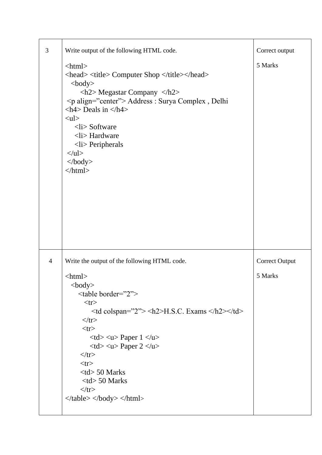| 3              | Write output of the following HTML code.                                                                                                                                                                                                                                                                                                                                                                                                                                                                                                                                                                                                                                                                                                                                                      | Correct output        |
|----------------|-----------------------------------------------------------------------------------------------------------------------------------------------------------------------------------------------------------------------------------------------------------------------------------------------------------------------------------------------------------------------------------------------------------------------------------------------------------------------------------------------------------------------------------------------------------------------------------------------------------------------------------------------------------------------------------------------------------------------------------------------------------------------------------------------|-----------------------|
|                | $\langle$ html $>$<br><head> <title> Computer Shop </title></head><br>$body$<br>$\langle h2 \rangle$ Megastar Company $\langle h2 \rangle$<br><p align="center"> Address : Surya Complex, Delhi<br/><math>\langle h4 \rangle</math> Deals in <math>\langle h4 \rangle</math><br/><math>&lt;</math>ul<math>&gt;</math><br/><math>\langle</math>li&gt; Software<br/><math>\langle</math>li&gt; Hardware<br/><math>\langle</math>li&gt; Peripherals<br/><math>\langle \text{ul} \rangle</math><br/><math>\langle \text{body} \rangle</math><br/><math>\langle</math>html&gt;</p>                                                                                                                                                                                                                 | 5 Marks               |
| $\overline{4}$ | Write the output of the following HTML code.                                                                                                                                                                                                                                                                                                                                                                                                                                                                                                                                                                                                                                                                                                                                                  | <b>Correct Output</b> |
|                | $\langle$ html $>$<br>$<$ body $>$<br><table border="2"><br/><math>&lt;</math>tr<math>&gt;</math><br/><math>\leq</math>td colspan="2"&gt; <math>\leq</math>h2&gt;H.S.C. Exams <math>\leq</math>h2&gt;<math>\leq</math>td&gt;<br/><math>\langle tr \rangle</math><br/><math>&lt;</math>tr<math>&gt;</math><br/><math>&lt;</math>td<math>&gt;</math> <math>&lt;</math>u<math>&gt;</math> Paper 1 <math>&lt;</math>/u<math>&gt;</math><br/><math>&lt;</math>td<math>&gt;</math><math>&lt;</math>u<math>&gt;</math> Paper 2<math>&lt;</math>/u<math>&gt;</math><br/><math>\langle tr \rangle</math><br/><math>&lt;</math>tr<math>&gt;</math><br/><math>&lt;</math>td<math>&gt; 50</math> Marks<br/><math>&lt;</math>td<math>&gt; 50</math> Marks<br/><math>\langle tr \rangle</math><br/></table> | 5 Marks               |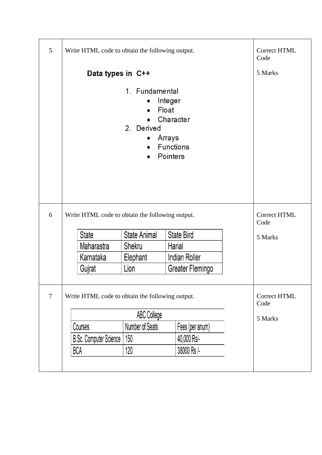| 5              | Write HTML code to obtain the following output.                                | Correct HTML<br>Code        |                   |         |  |
|----------------|--------------------------------------------------------------------------------|-----------------------------|-------------------|---------|--|
|                | Data types in C++                                                              | 5 Marks                     |                   |         |  |
|                |                                                                                |                             |                   |         |  |
| 6              | Write HTML code to obtain the following output.                                | <b>Correct HTML</b><br>Code |                   |         |  |
|                | <b>State</b>                                                                   | State Animal                | <b>State Bird</b> | 5 Marks |  |
|                | Maharastra                                                                     | Shekru                      | Harial            |         |  |
|                | Karnataka                                                                      | Elephant                    | Indian Roller     |         |  |
|                | Gujrat                                                                         | Lion<br>Greater Flemingo    |                   |         |  |
| $\overline{7}$ | <b>Correct HTML</b><br>Write HTML code to obtain the following output.<br>Code |                             |                   |         |  |
|                |                                                                                | 5 Marks                     |                   |         |  |
|                | Number of Seats<br>Fees (per anum)<br>Courses                                  |                             |                   |         |  |
|                | <b>B.Sc. Computer Science</b>                                                  | 150<br>40,000 Rs/-          |                   |         |  |
|                | <b>BCA</b>                                                                     | 120                         | 38000 Rs /-       |         |  |
|                |                                                                                |                             |                   |         |  |